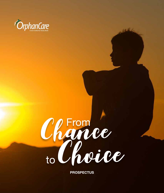



**Pros pectus**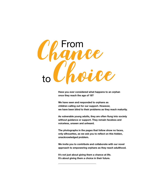

**Have you ever considered what happens to an orphan once they reach the age of 18?**

**We have seen and responded to orphans as children calling out for our support. However, we have been blind to their problems as they reach maturity.**

**As vulnerable young adults, they are often flung into society without guidance or support. They remain faceless and voiceless, unseen and unheard.**

**The photographs in the pages that follow show no faces, only silhouettes, as we ask you to reflect on this hidden, unacknowledged problem.**

**We invite you to contribute and collaborate with our novel approach to empowering orphans as they reach adulthood.**

**It's not just about giving them a chance at life. It's about giving them a choice in their future.**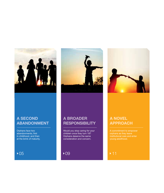

### **A Second ABANDONMENT**

Orphans face two abandonments; first in childhood, and then at the brink of maturity.





### **A Broader Responsibility**

Would you stop caring for your children once they turn 18? Orphans deserve the same consideration and concern.

▶09



### **A Novel Approach**

young adulthood.

 $\triangle$  05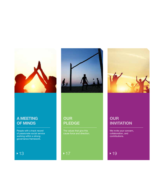

### **A Meeting of Minds**

People with a track record of passionate social service working within a strong governance framework.

### $+13$



### **Our Pledge**

The values that give this cause force and direction.



### **Our Invitation**

We invite your concern, collaboration, and contributions.

 $\blacktriangleright$  19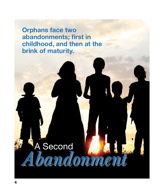**Orphans face two abandonments; first in childhood, and then at the brink of maturity.**

> A Second *Abandonment*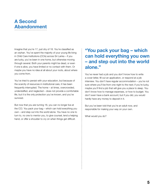## **A Second Abandonment**

Imagine that you're 17, just shy of 18. You're classified as an orphan. You've spent the majority of your young life living in Child Care Institutions (CCIs) across Sri Lanka – if you are lucky, you've been in one home, but otherwise moving through several. Both your parents might be dead, or even if one is alive, you have limited or no contact with them. Or maybe you have no idea at all about your roots, about where you come from.

You've tried to persist with your education, but because of the scarcity of resources in institutional care, it has been frequently interrupted. The home – at times, overcrowded, understaffed, and neglected – does not provide a comfortable life, but it is the only protection you've known, and you've survived.

But now that you are turning 18, you can no longer live at the CCI. You pack your bag – which can hold everything you own – and step out into the world alone. You have no one to turn to, no one to mentor you, to give counsel, lend a helping hand, or offer a shoulder to cry on when things get difficult.

## **"You pack your bag – which can hold everything you own – and step out into the world alone."**

You've never had a job and you don't know how to write a cover letter, fill out an application, or respond at a job interview. You don't have regular accommodation – you're not sure where you'll be from one night to the next; if you're lucky, maybe you'll find a job that will give you a place to sleep. You don't know how to manage expenses, or how to budget. You don't even have a bank account; but if you did, you would hardly have any money to deposit in it.

But you've been told that you're an adult now, and responsible for making your way on your own.

What would you do?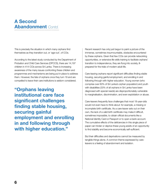## **A Second Abandonment** *Contd.*

This is precisely the situation in which many orphans find themselves as they transition out, or 'age-out', of CCIs.

According to the latest study conducted by the Department of Probation and Child Care Services (DPCCS), there are 14,197 children in 414 CCIs across Sri Lanka. There is increasing awareness of the many issues confronting these children and programmes and mechanisms are being put in place to address them. However, the fate of orphans once they turn 18 and are compelled to leave their care institutions is seldom considered.

**"Orphans leaving institutional care face significant challenges finding stable housing, securing gainful employment and enrolling in and following through with higher education."**

Recent research has only just begun to paint a picture of the immense, sometimes insurmountable, obstacles encountered by these orphans. Given that few CCIs can provide networking opportunities, or extensive life-skills training to facilitate orphans' transition to independence, they are flung into society, illprepared for the trials of modern adult life.

Care-leaving orphans report significant difficulties finding stable housing, securing gainful employment, and enrolling in and following through with higher education. Young women (who comprise over 60% of Sri Lanka's orphan population) and youth with disabilities (33% of all orphans in Sri Lanka have been diagnosed with special needs) are disproportionately vulnerable to marginalisation, discrimination, and even exploitation or abuse.

Care-leavers frequently face challenges that most 18-year-olds would not even have to think about: for example, a missing or incomplete birth certificate. As a care-leaver sets out on their own, the lack of a valid birth certificate may make it difficult, sometimes impossible, to obtain official documents like a National Identity Card or Passport or to open a bank account. The cumulative effects of the deficiencies in this single piece of paper can hinder or deprive these young adults of an opportunity to find stability and become economically self-sufficient.

But their difficulties and deprivations cannot be measured by tangible things alone. A common theme expressed by careleavers is a feeling of abandonment and isolation.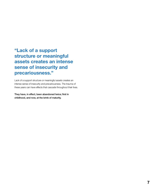**"Lack of a support structure or meaningful assets creates an intense sense of insecurity and precariousness."**

Lack of a support structure or meaningful assets creates an intense sense of insecurity and precariousness. The trauma of these years can have effects that cascade throughout their lives.

They have, in effect, been abandoned twice; first in childhood, and now, at the brink of maturity.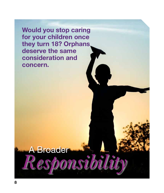**Would you stop caring for your children once they turn 18? Orphans deserve the same consideration and concern.**

A Broader

*Responsibility*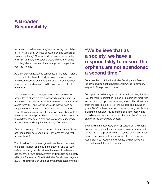## **A Broader Responsibility**

As parents, could we ever imagine abandoning our children at 18 – cutting off all sources of assistance and comfort, all love and nurturing? Or would children ever assume that on their 18th birthday, their parents would immediately cease providing all emotional and financial support, or expel them from their homes?

As every parent knows, you cannot set an arbitrary timetable for the maturity of a child. And young care-leavers have often been deprived of the advantages of a wide education, or of the mentored exposure to life experiences that help maturation.

We believe that as a society, we have a responsibility to ensure that orphans are not abandoned a second time. To assume that our task as custodians automatically ends when a child turns 18 – and to thus conclude that we need no longer remain invested in the lives of orphans – is a limited view of the responsibility we all share. We do not believe that the extent of our responsibilities to orphans can be defined by the arbitrary passing of a date on the calendar, supposedly and suddenly rendering them unworthy of our care.

If we provide support for orphans as children, but we discard and ignore them as young adults, then what have we really accomplished?

The United Nations has recognised over the last decades that there is a significant gap in the attention paid to youth – defined as young people between the ages of 14-24 – and has enshrined youth empowerment and inclusion as a priority within the framework of the Sustainable Development Agenda 2030. This emphasis on youth as a vulnerable category stems

## **"We believe that as a society, we have a responsibility to ensure that orphans are not abandoned a second time."**

from the mission of the Sustainable Development Goals as inclusive development, development unwilling to leave any segment of the population behind.

For orphans who have aged out of institutional care, this focus is all the more important. In Sri Lanka, in particular, family ties and economic support continue long into adulthood, and are often the biggest predictors of the success and thriving of youth. Bereft of these networks or assets, young people face barriers to education, multiple forms of discrimination, and limited employment prospects, and they can therefore very easily slip into poverty and despair.

By providing the necessary skills, opportunities, and support however, we can put them on the path to a successful and productive life. Orphans who have reached young adulthood aspire to fully participate in our society. It is our collective responsibility to recognise their agency and resilience and provide them a future with choices.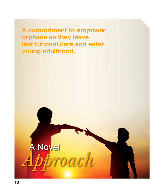**A commitment to empower orphans as they leave institutional care and enter young adulthood.**

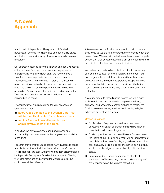## **A Novel Approach**

A solution to this problem will require a multifaceted perspective, one that is collaborative and community-based and that involves a wide array of stakeholders, advocates and resources.

Our approach seeks to intervene in a vital and decisive aspect of the problem: funding. Just as we encourage parents to start saving for their children early, we have created a Trust for orphans to provide them with some measure of financial security when they reach maturity. The Trust will make deposits periodically into orphans' accounts until they reach the age of 18, at which point the funds will become accessible. Amãna Bank will provide the seed capital for the Trust and will open the fund for contributions from donors inspired by this cause.

Two foundational principles define the very essence and identity of the Trust.

- Every rupee donated to the Orphan Care Trust will be directly allocated for orphan accounts.
- **Amana Bank will bear all operating and** administrative costs of the Trust.

In addition, we have established good governance and accountability measures to ensure the long-term sustainability of the Trust.

Research shows that for young adults, having access to capital at a pivotal juncture in their lives is crucial and transformative. This is especially the case when they come from disadvantaged backgrounds. For orphans faced with the prospect of leaving their care institutions and entering the world as adults, this could make all the difference.

A key element of the Trust is the stipulation that orphans will be allowed to use the funds entirely as they choose when they come of age. We maintain that allowing the orphans complete control over their assets empowers them and recognises their capacity to make their own economic decisions.

We believe our role is to be protective but not overbearing. Just as parents save for their children with the hope – but not the guarantee – that their children will use their assets wisely, we believe in offering support and independence to orphans without demanding their compliance. We believe that empowering them in this way is itself a vital part of their maturation.

As a supplement to these financial assets, we will provide a platform for various stakeholders to provide training, guidance, and encouragement for orphans to employ the funds in asset-enhancing activities like investing in higher education or initiating a business.

#### Orphan Enrolment

- Confirmation of orphan status (at least one parent deceased; verification of orphan status will be made in consultation with relevant agencies).
- Guided by Article 2 of the United Nations Convention on the Rights of the Child, all enrolment will be irrespective of the child's or their parent's or legal guardian's race, colour, sex, language, religion, political or other opinion, national, ethnic or social origin, property, disability, birth or other status.
- Enrolees will be 12 years or younger as of date of enrolment (the Trustees may decide to adjust the age of entry depending on the strength of the fund).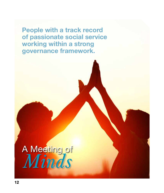**People with a track record of passionate social service working within a strong governance framework.**

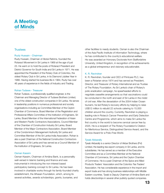## **A Meeting of Minds**

#### **Trustees**

#### Ruzly Hussain - Chairman

Ruzly Hussain, Chairman of Abdul Rahims, founded the Rotaract Movement in Sri Lanka in 1969 at the age of just 23. He went on to hold the posts of Rotaract President and District Governor for South India and Sri Lanka in 1971. He was appointed the President of the Rotary Club of Colombo, the oldest Rotary Club in Sri Lanka, in its Diamond Jubilee Year in 1988. Having started his business life in 1964, Ruzly has over 46 years of experience in the fields of Industry and Trading.

#### Rohan Tudawe - Treasurer

Rohan Tudawe, a professionally qualified engineer, is the Chairman and Managing Director of Tudawe Brothers Limited, one of the oldest construction companies in Sri Lanka. He serves in leadership positions in numerous professional and society organisations including as Committee Member of the Ceylon Chamber of Commerce, Board Member of the Registration and Professional Affairs Committee of the Institution of Engineers, Sri Lanka, Board Member of the International Federation of Asian and Western Pacific Contractors Associations, Council Member of the Chamber of Construction Industry Sri Lanka, Board Member of the Major Contractors Association, Board Member of the Condominium Management Authority Sri Lanka and Committee Member of the Sri Lanka-India Association. Rohan is also a past Chairman of the National Construction Contractors Association of Sri Lanka and has served as a Council Member of the Institution of Engineers, Sri Lanka.

#### Osman Kassim

Osman Kassim, Chairman of Amãna Bank, is a personality well-versed in Islamic banking and finance and was instrumental in introducing the non-interest based participatory banking concept to Sri Lanka. He has been involved in charitable works through his family-founded charity establishment, the Alhasan Foundation, which, among its several activities, awards scholarships, grants, bursaries, and

other facilities to needy students. Osman is also the Chairman of the Asia Pacific Institute of Information Technology, where he has contributed to the country's educational welfare. He was awarded an Honorary Doctorate from Staffordshire University, United Kingdom, in recognition of his achievements as a global entrepreneur and visionary educationalist.

#### K. R. Ravindran

K. R. Ravindran, founder and CEO of Printcare PLC, has been a Rotarian since 1974 and has served as President, Director, and Treasurer of Rotary International and as Trustee of The Rotary Foundation. As Sri Lanka's chair of Rotary's polio eradication campaign, he spearheaded efforts to negotiate ceasefire arrangements so that vaccinations could be conducted in the north and east of Sri Lanka in the midst of civil war. After the devastation of the 2004 Indian Ocean tsunami, he led Rotary's recovery efforts by helping to raise US\$12 million to rebuild 22 schools catering to 15,000 children around the country. Currently, Ravindran is playing a leading role in Rotary's Cancer Prevention and Early Detection Centre and Programme, which aims to make Sri Lanka the first country in the world to become cervical cancer free by 2025. He is a recipient of The Rotary Foundation's Citation for Meritorious Service, Distinguished Service Award, and the Service Award for a Polio-Free World.

#### Tyeab Akbarally

Tyeab Akbarally is a senior Director of Akbar Brothers (Pvt) Limited, the leading tea export company in Sri Lanka, and its subsidiaries. He has served as a member of the Executive Committee and as a Committee Member at the National Chamber of Commerce, Sri Lanka and the Ceylon Chamber of Commerce. He is a past Chairman of the Spice and Allied Products Traders' Association and the Colombo Tea Traders' Association. He has considerable experience in the import and export trade and has strong business relationships with Middle Eastern countries. Tyeab is Deputy Chairman of Amãna Bank and holds directorships in several other publicly quoted companies.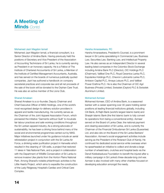## **A Meeting of Minds** *Contd.*

#### Mohamed Jazri Magdon Ismail

Mohamed Jazri Magdon Ismail, a financial consultant, is a Senior Director of Amãna Bank. Having previously held the positions of Secretary and Vice President of the Association of Accounting Technicians of Sri Lanka, he is currently serving as President in an honorary capacity. He is a Fellow of The Institute of Chartered Accountants of Sri Lanka, a Member of the Institute of Certified Management Accountants, Australia, and has served on the boards of numerous publically quoted companies. Jazri has authored a handbook on company secretarial practices and corporate law and all net proceeds of the sale of the book will be donated to the Orphan Care Trust. He was also an active member of the Lions Club.

#### Sharad Amalean

Sharad Amalean is a co-founder, Deputy Chairman and Chief Executive Officer of MAS Holdings, one of the world's most recognised design-to-delivery solution providers in apparel and textile manufacturing. He currently serves as the Chairman of the Joint Apparel Association Forum, which pioneered the initiative 'Garments without Guilt' to inculcate fair labour practices and safe working conditions throughout the Sri Lankan apparel industry. As a strong advocate of sustainability, he has been a driving force behind many of the social and environmental programmes carried out by MAS. Major initiatives launched under his guidance include an aerial reforestation project in conjunction with the Sri Lanka Air Force, a drinking water purification project in Hanwella which resulted in the cleaning of 128 wells, a project that restored 11 lakes in Yala National Park, and a project in collaboration with the Department of Wildlife Conservation of Sri Lanka to remove invasive Ulex plants from the Horton Plains National Park. Among Sharad's notable philanthropic activities is the Little Hearts Project, which aims to expedite the construction of the Lady Ridgeway Hospital's Cardiac and Critical Care Complex.

#### Harsha Amarasekera, PC

Harsha Amarasekera, President's Counsel, is a prominent lawyer in Sri Lanka specialising in Commercial Law, Business Law, Securities Law, Banking Law, and Intellectual Property Law. He also serves as an Independent Director in several leading listed companies in the Colombo Stock Exchange including Amãna Bank PLC (Director), CIC Holdings PLC (Chairman), Vallibel One PLC, Royal Ceramics Lanka PLC, Expolanka Holdings PLC, Chevron Lubricants Lanka PLC, Ambeon Capital PLC, Amaya Leisure PLC, and Vallibel Power Erathna PLC. He is also the Chairman of CIC Agri Business (Private) Limited, Swisstek (Ceylon) PLC & Swisstek Aluminium Limited.

#### Mohamed Azmeer

Mohamed Azmeer, CEO of Amãna Bank, is a seasoned banker with a career spanning over 30 years holding senior positions at leading financial institutions globally, including Citi Bank, Al Rajhi Bank (world's largest Islamic bank) and Sharjah Islamic Bank (the first Islamic bank to fully convert its operations from being a conventional entity). Azmeer served on the Board of Lanka Clear, the national payment and clearing association of Sri Lanka, and is currently the Chairman of the Financial Ombudsman Sri Lanka (Guarantee) Ltd. and also sits on the Board of the Sri Lanka Bankers' Association. Azmeer's social engagement activities include serving as the President of the Rotaract Club of Kandy. He continued his dedicated social service while overseas when he spearheaded an initiative to collect and donate a large number of wheelchairs, crutches and hospital beds via the Denzil Kobbekaduwa Foundation to benefit the injured after a military campaign in Sri Lanka's three-decade-long civil war. Azmeer is also involved with many other charities focused on developing education amongst the needy.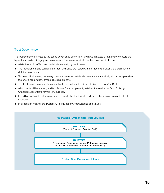#### Trust Governance

The Trustees are committed to the sound governance of the Trust, and have instituted a framework to ensure the highest standards of integrity and transparency. The framework includes the following stipulations:

- All decisions of the Trust are made independently by the Trustees.
- The management and control of the Trust and funds are vested with the Trustees, including the basis for the distribution of funds.
- Trustees will take every necessary measure to ensure that distributions are equal and fair, without any prejudice, favour or discrimination, among all eligible orphans.
- The Trustees will be ultimately responsible to the Settlors, the Board of Directors of Amãna Bank.
- All accounts will be annually audited; Amãna Bank has presently retained the services of Ernst & Young Chartered Accountants for this very purpose.
- In addition to the internal governance framework, the Trust will also adhere to the general rules of the Trust Ordinance.
- In all decision-making, the Trustees will be guided by Amãna Bank's core values.

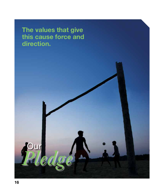**The values that give this cause force and direction.**

**Jur** 

*Pledge*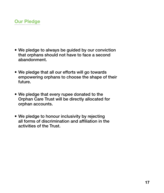

- We pledge to always be guided by our conviction that orphans should not have to face a second abandonment.
- We pledge that all our efforts will go towards empowering orphans to choose the shape of their future.
- We pledge that every rupee donated to the Orphan Care Trust will be directly allocated for orphan accounts.
- We pledge to honour inclusivity by rejecting all forms of discrimination and affiliation in the activities of the Trust.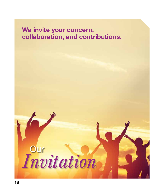# **We invite your concern, collaboration, and contributions.**

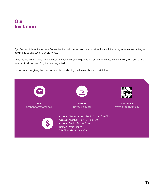## **Our Invitation**

If you've read this far, then maybe from out of the dark shadows of the silhouettes that mark these pages, faces are starting to slowly emerge and become visible to you.

If you are moved and driven by our cause, we hope that you will join us in making a difference in the lives of young adults who have, for too long, been forgotten and neglected.

It's not just about giving them a chance at life. It's about giving them a choice in their future.